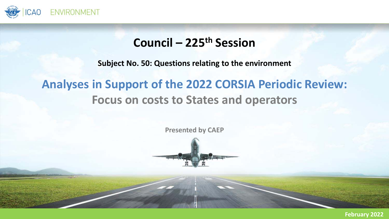

### **Council – 225th Session**

**Subject No. 50: Questions relating to the environment**

## **Analyses in Support of the 2022 CORSIA Periodic Review: Focus on costs to States and operators**

**Presented by CAEP**



**February 2022**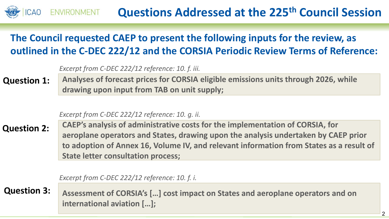#### **Questions Addressed at the 225th Council Session RONMENT**

### **The Council requested CAEP to present the following inputs for the review, as outlined in the C‐DEC 222/12 and the CORSIA Periodic Review Terms of Reference:**

| Excerpt from C-DEC 222/12 reference: 10. f. iii. |  |  |  |  |
|--------------------------------------------------|--|--|--|--|
|--------------------------------------------------|--|--|--|--|

**Analyses of forecast prices for CORSIA eligible emissions units through 2026, while drawing upon input from TAB on unit supply; Question 1:**

#### *Excerpt from C‐DEC 222/12 reference: 10. g. ii.*

**p State letter consultation process; CAEP's analysis of administrative costs for the implementation of CORSIA, for aeroplane operators and States, drawing upon the analysis undertaken by CAEP prior to adoption of Annex 16, Volume IV, and relevant information from States as a result of Question 2:**

*Excerpt from C‐DEC 222/12 reference: 10. f. i.*

**Question 3:**

**Assessment of CORSIA's […] cost impact on States and aeroplane operators and on international aviation […];**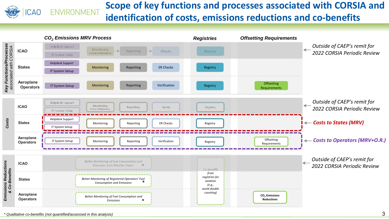

#### **Scope of key functions and processes associated with CORSIA and** VIRONMENT **identification of costs, emissions reductions and co‐benefits**

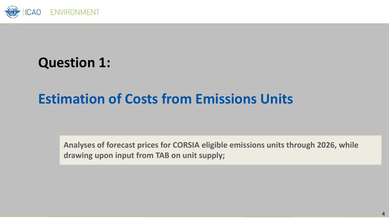

## **Question 1:**

## **Estimation of Costs from Emissions Units**

**Analyses of forecast prices for CORSIA eligible emissions units through 2026, while drawing upon input from TAB on unit supply;**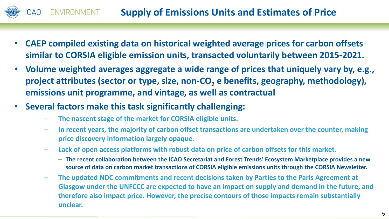### **Supply of Emissions Units and Estimates of Price**

- • **CAEP compiled existing data on historical weighted average prices for carbon offsets similar to CORSIA eligible emission units, transacted voluntarily between 2015‐2021.**
- • **Volume weighted averages aggregate a wide range of prices that uniquely vary by, e.g.,**  project attributes (sector or type, size, non-CO<sub>2</sub> e benefits, geography, methodology), **emissions unit programme, and vintage, as well as contractual**
- • **Several factors make this task significantly challenging:**
	- **The nascent stage of the market for CORSIA eligible units.**
	- – **In recent years, the majority of carbon offset transactions are undertaken over the counter, making price discovery information largely opaque.**
	- **Lack of open access platforms with robust data on price of carbon offsets for this market.**
		- **The recent collaboration between the ICAO Secretariat and Forest Trends' Ecosystem Marketplace provides a new source of data on carbon market transactions of CORSIA eligible emissions units through the CORSIA Newsletter.**
	- **The updated NDC commitments and recent decisions taken by Parties to the Paris Agreement at Glasgow under the UNFCCC are expected to have an impact on supply and demand in the future, and therefore also impact price. However, the precise contours of those impacts remain substantially unclear.**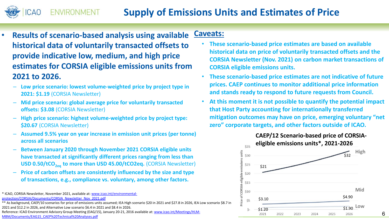•

- **Results of scenario‐based analysis using available historical data of voluntarily transacted offsets to provide indicative low, medium, and high price estimates for CORSIA eligible emissions units from 2021 to 2026.Caveats:**
	- **Low price scenario: lowest volume‐weighted price by project type in 2021: \$1.19** (CORSIA Newsletter)
	- – **Mid price scenario: global average price for voluntarily transacted offsets: \$3.08** (CORSIA Newsletter)
	- **High price scenario: highest volume‐weighted price by project type: \$20.67** (CORSIA Newsletter)
	- **Assumed 9.5% year on year increase in emission unit prices (per tonne) across all scenarios**
	- $\overline{\phantom{a}}$  **Between January 2020 through November 2021 CORSIA eligible units have transacted at significantly different prices ranging from less than USD 0.50/tCO<sub>2eg</sub> to more than USD 45.00/tCO2eq. (CORSIA Newsletter)**
	- – **Price of carbon offsets are consistently influenced by the size and type of transactions, e.g., compliance vs. voluntary, among other factors.**

\*\* As background, CAEP/10 scenarios for price of emissions units assumed; IEA High scenario \$20 in 2021 and \$27.8 in 2026, IEA Low scenario \$8.7 in 2021 and \$12.2 in 2026, and Alternative Low scenario \$6.4 in 2021 and \$8.4 in 2026.

Reference: ICAO Environment Advisory Group Meeting (EAG/15), January 20-21, 2016 available at: www.icao.int/Meetings/HLM-MBM/Documents/EAG15\_CAEP%20Technical%20Analyses.pdf

- • **These scenario‐based price estimates are based on available historical data on price of voluntarily transacted offsets and the CORSIA Newsletter (Nov. 2021) on carbon market transactions of CORSIA eligible emissions units.**
- • **These scenario‐based price estimates are not indicative of future prices. CAEP continues to monitor additional price information**  and stands ready to respond to future requests from Council.
- • **At this moment it is not possible to quantify the potential impact that Host Party accounting for internationally transferred mitigation outcomes may have on price, emerging voluntary "net zero" corporate targets, and other factors outside of ICAO.**



<sup>\*</sup> ICAO, CORSIA Newsletter, November 2021, available at: www.icao.int/environmental‐ protection/CORSIA/Documents/CORSIA\_Newsletter\_Nov\_2021.pdf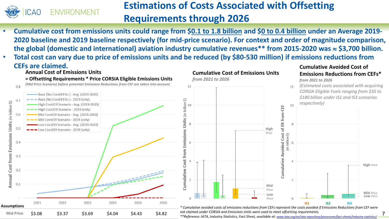

### **Estimations of Costs Associated with Offsetting Requirements through 2026**

**Cumulative Cost of Emissions Units**

- • **Cumulative cost from emissions units could range from \$0.1 to 1.8 billion and \$0 to 0.4 billion under an Average 2019‐ 2020 baseline and 2019 baseline respectively (for mid‐price scenario). For context and order of magnitude comparison, the global (domestic and international) aviation industry cumulative revenues\*\* from 2015‐2020 was \$3,700 billion.**
- • **Total cost can vary due to price of emissions units and be reduced (by \$80‐530 million) if emissions reductions from CEFs are claimed.Cumulative Avoided Cost of**

#### **Annual Cost of Emissions Units**



#### **Emissions Reductions from CEFs\****from 2021 to 2026*

*(Estimated costs associated with acquiring CORSIA Eligible Fuels ranging from \$35 to \$180 billion under IS1 and IS3 scenarios respectively)*

**IS2 IS3**

7

**High** *Price*

**Mid** *Price***Low** *Price*

*\* Cumulative avoided costs of emissions reductions from CEFs represent the costs avoided if Emissions Reductions from CEF were not claimed under CORSIA and Emissions Units were used to meet offsetting requirements.* 

*\*\*Reference: IATA, Industry Statistics, Fact Sheet, available at: www.iata.org/en/iata‐repository/pressroom/fact‐sheets/industry‐statistics/*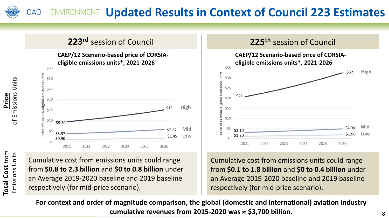#### **Updated Results in Context of Council 223 Estimates ICAO**

### **223r<sup>d</sup>** session of Council

**CAEP/12 Scenario‐based price of CORSIA‐ eligible emissions units\*, 2021‐2026**



**Total Cost** from **Total Cost from Emissions Units** Emissions Units

**Price** of Emissions Units

of Emissions Units

Cumulative cost from emissions units could range from **\$0.8 to 2.3 billion** and **\$0 to 0.8 billion** under an Average 2019‐2020 baseline and 2019 baseline respectively (for mid‐price scenario).



Cumulative cost from emissions units could range from **\$0.1 to 1.8 billion** and **\$0 to 0.4 billion** under an Average 2019‐2020 baseline and 2019 baseline respectively (for mid‐price scenario).

**For context and order of magnitude comparison, the global (domestic and international) aviation industry cumulative revenues from 2015‐2020 was \$3,700 billion.**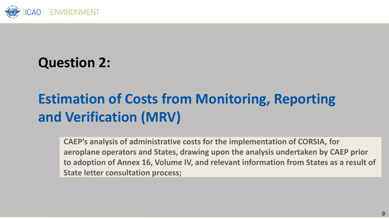

## **Question 2:**

# **Estimation of Costs from Monitoring, Reporting and Verification (MRV)**

**p State letter consultation process; CAEP's analysis of administrative costs for the implementation of CORSIA, for aeroplane operators and States, drawing upon the analysis undertaken by CAEP prior to adoption of Annex 16, Volume IV, and relevant information from States as a result of**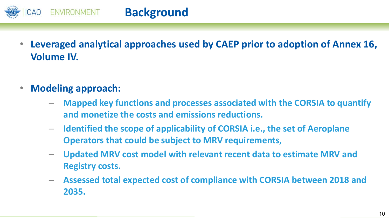

- • **Leveraged analytical approaches used by CAEP prior to adoption of Annex 16, Volume IV.**
- • **Modeling approach:** 
	- **Mapped key functions and processes associated with the CORSIA to quantify and monetize the costs and emissions reductions.**
	- – **Identified the scope of applicability of CORSIA i.e., the set of Aeroplane Operators that could be subject to MRV requirements,**
	- – **Updated MRV cost model with relevant recent data to estimate MRV and Registry costs.**
	- – **Assessed total expected cost of compliance with CORSIA between 2018 and 2035.**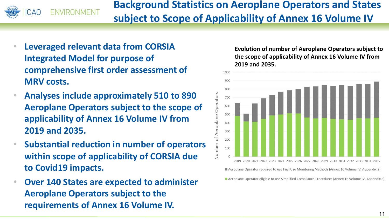

**Background Statistics on Aeroplane Operators and States subject to Scope of Applicability of Annex 16 Volume IV**

- • **Leveraged relevant data from CORSIA Integrated Model for purpose of comprehensive first order assessment of MRV costs.**
- • **Analyses include approximately 510 to 890 Aeroplane Operators subject to the scope of applicability of Annex 16 Volume IV from 2019 and 2035.**
- • **Substantial reduction in number of operators within scope of applicability of CORSIA due to Covid19 impacts.**
- • **Over 140 States are expected to administer Aeroplane Operators subject to the requirements of Annex 16 Volume IV.**

**Evolution of number of Aeroplane Operators subject to the scope of applicability of Annex 16 Volume IV from 2019 and 2035.** 



Aeroplane Operator eligible to use Simplified Compliance Procedures (Annex 16 Volume IV, Appendix 3)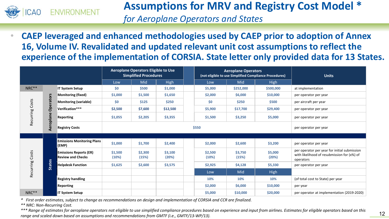

### **Assumptions for MRV and Registry Cost Model \***

*for Aeroplane Operators and States*

 $\bullet$  **CAEP leveraged and enhanced methodologies used by CAEP prior to adoption of Annex 16, Volume IV. Revalidated and updated relevant unit cost assumptions to reflect the experience of the implementation of CORSIA. State letter only provided data for 13 States.** 

|                    |               | Aeroplane Operators Eligible to Use<br><b>Simplified Procedures</b> |                  |                  | <b>Aeroplane Operators</b><br>(not eligible to use Simplified Compliance Procedures) |  |                  | <b>Units</b>     |                       |                                                                                                          |
|--------------------|---------------|---------------------------------------------------------------------|------------------|------------------|--------------------------------------------------------------------------------------|--|------------------|------------------|-----------------------|----------------------------------------------------------------------------------------------------------|
|                    |               |                                                                     | Low              | Mid              | High                                                                                 |  | Low              | Mid              | <b>High</b>           |                                                                                                          |
| NRC**              |               | <b>IT System Setup</b>                                              | \$0              | \$500            | \$1,000                                                                              |  | \$5,000          | \$252,000        | \$500,000             | at implementation                                                                                        |
| Costs<br>Recurring |               | <b>Monitoring (fixed)</b>                                           | \$1,000          | \$1,500          | \$1,650                                                                              |  | \$2,000          | \$6,000          | \$10,000              | per operator per year                                                                                    |
|                    | Operators     | <b>Monitoring (variable)</b>                                        | \$0              | \$125            | \$250                                                                                |  | \$0              | \$250            | \$500                 | per aircraft per year                                                                                    |
|                    |               | Verification***                                                     | \$2,500          | \$7,600          | \$12,500                                                                             |  | \$5,900          | \$17,700         | \$29,400              | per operator per year                                                                                    |
|                    | Aeroplane     | Reporting                                                           | \$1,055          | \$2,205          | \$3,355                                                                              |  | \$1,500          | \$3,250          | \$5,000               | per operator per year                                                                                    |
|                    |               | <b>Registry Costs</b>                                               | \$550            |                  |                                                                                      |  |                  |                  | per operator per year |                                                                                                          |
|                    |               |                                                                     |                  |                  |                                                                                      |  |                  |                  |                       |                                                                                                          |
| Costs<br>Recurring |               | <b>Emissions Monitoring Plans</b><br>(EMP)                          | \$1,000          | \$1,700          | \$2,400                                                                              |  | \$2,000          | \$2,600          | \$3,200               | per operator per year                                                                                    |
|                    | <b>States</b> | <b>Emissions Reports (ER)</b><br><b>Review and Checks</b>           | \$1,500<br>(10%) | \$2,300<br>(15%) | \$3,100<br>(20%)                                                                     |  | \$2,500<br>(10%) | \$3,750<br>(15%) | \$5,000<br>(20%)      | per operator per year for initial submission<br>with likelihood of resubmission for (x%) of<br>operators |
|                    |               | <b>Helpdesk Function</b>                                            | \$1,625          | \$2,600          | \$3,575                                                                              |  | \$2,925          | \$4,128          | \$5,330               | per operator per year                                                                                    |
|                    |               |                                                                     |                  |                  |                                                                                      |  | Low              | Mid              | <b>High</b>           |                                                                                                          |
|                    |               | <b>Registry handling</b>                                            |                  |                  |                                                                                      |  | 10%              | 10%              | 10%                   | (of total cost to State) per year                                                                        |
|                    |               | Reporting                                                           |                  |                  |                                                                                      |  | \$2,000          | \$6,000          | \$10,000              | per year                                                                                                 |
| NRC**              |               | <b>IT System Setup</b>                                              |                  |                  |                                                                                      |  | \$5,000          | \$10,000         | \$20,000              | per operator at implementation (2019-2020)                                                               |

*\* First order estimates, subject to change as recommendations on design and implementation of CORSIA and CCR are finalized.*

*\*\* NRC: Non‐Recurring Cost.*

*\*\*\* Range of estimates for aeroplane operators not eligible to use simplified compliance procedures based on experience and input from airlines. Estimates for eligible operators based on this*  range of estimates for acroptate operators from chaptic to ase simplified compliance procedures based on experience and input from animes. Estimates for engine operators based on time<br>The game and scaled down based on ass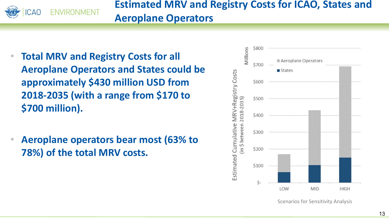

### **Estimated MRV and Registry Costs for ICAO, States and Aeroplane Operators**

- • **Total MRV and Registry Costs for all Aeroplane Operators and States could be approximately \$430 million USD from 2018‐2035 (with a range from \$170 to \$700 million).**
- • **Aeroplane operators bear most (63% to 78%) of the total MRV costs.**



Scenarios for Sensitivity Analysis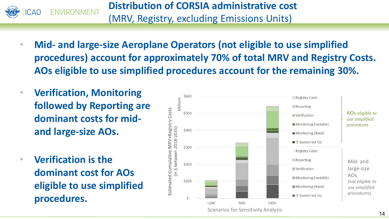

**Distribution of CORSIA administrative cost** (MRV, Registry, excluding Emissions Units)

- • **Mid‐ and large‐size Aeroplane Operators (not eligible to use simplified procedures) account for approximately 70% of total MRV and Registry Costs. AOs eligible to use simplified procedures account for the remaining 30%.**
- • **Verification, Monitoring followed by Reporting are dominant costs for mid‐and large‐size AOs.**
- • **Verification is the dominant cost for AOs eligible to use simplified procedures.**

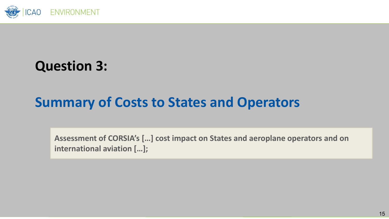

## **Question 3:**

## **Summary of Costs to States and Operators**

**Assessment of CORSIA's […] cost impact on States and aeroplane operators and on international aviation […];**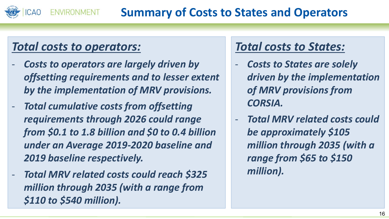#### **Summary of Costs to States and Operators VIRONMENT**

### *Total costs to operators:*

- ‐ *Costs to operators are largely driven by offsetting requirements and to lesser extent by the implementation of MRV provisions.*
- ‐ *Total cumulative costs from offsetting requirements through 2026 could range from \$0.1 to 1.8 billion and \$0 to 0.4 billion under an Average 2019‐2020 baseline and 2019 baseline respectively.*
- ‐ *Total MRV related costs could reach \$325 million through 2035 (with a range from \$110 to \$540 million).*

## *Total costs to States:*

- $\blacksquare$  *Costs to States are solely driven by the implementation of MRV provisions from CORSIA.*
- ‐ *Total MRV related costs could be approximately \$105 million through 2035 (with a range from \$65 to \$150 million).*